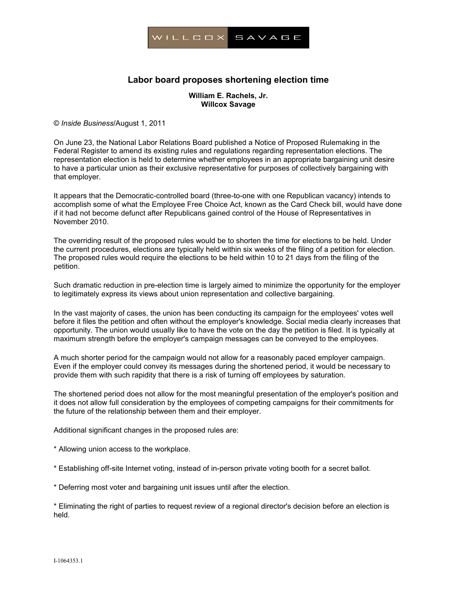

## **Labor board proposes shortening election time**

## **William E. Rachels, Jr. Willcox Savage**

© *Inside Business*/August 1, 2011

On June 23, the National Labor Relations Board published a Notice of Proposed Rulemaking in the Federal Register to amend its existing rules and regulations regarding representation elections. The representation election is held to determine whether employees in an appropriate bargaining unit desire to have a particular union as their exclusive representative for purposes of collectively bargaining with that employer.

It appears that the Democratic-controlled board (three-to-one with one Republican vacancy) intends to accomplish some of what the Employee Free Choice Act, known as the Card Check bill, would have done if it had not become defunct after Republicans gained control of the House of Representatives in November 2010.

The overriding result of the proposed rules would be to shorten the time for elections to be held. Under the current procedures, elections are typically held within six weeks of the filing of a petition for election. The proposed rules would require the elections to be held within 10 to 21 days from the filing of the petition.

Such dramatic reduction in pre-election time is largely aimed to minimize the opportunity for the employer to legitimately express its views about union representation and collective bargaining.

In the vast majority of cases, the union has been conducting its campaign for the employees' votes well before it files the petition and often without the employer's knowledge. Social media clearly increases that opportunity. The union would usually like to have the vote on the day the petition is filed. It is typically at maximum strength before the employer's campaign messages can be conveyed to the employees.

A much shorter period for the campaign would not allow for a reasonably paced employer campaign. Even if the employer could convey its messages during the shortened period, it would be necessary to provide them with such rapidity that there is a risk of turning off employees by saturation.

The shortened period does not allow for the most meaningful presentation of the employer's position and it does not allow full consideration by the employees of competing campaigns for their commitments for the future of the relationship between them and their employer.

Additional significant changes in the proposed rules are:

- \* Allowing union access to the workplace.
- \* Establishing off-site Internet voting, instead of in-person private voting booth for a secret ballot.
- \* Deferring most voter and bargaining unit issues until after the election.

\* Eliminating the right of parties to request review of a regional director's decision before an election is held.